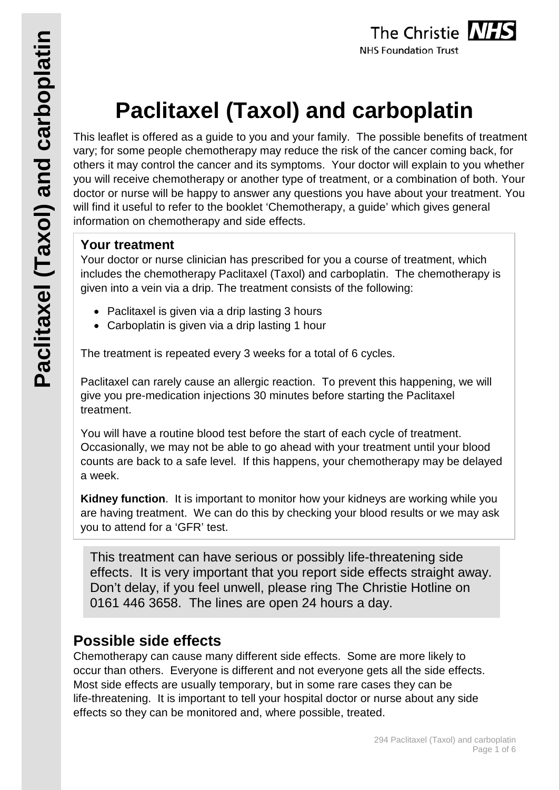# **Paclitaxel (Taxol) and carboplatin**

This leaflet is offered as a guide to you and your family. The possible benefits of treatment vary; for some people chemotherapy may reduce the risk of the cancer coming back, for others it may control the cancer and its symptoms. Your doctor will explain to you whether you will receive chemotherapy or another type of treatment, or a combination of both. Your doctor or nurse will be happy to answer any questions you have about your treatment. You will find it useful to refer to the booklet 'Chemotherapy, a guide' which gives general information on chemotherapy and side effects.

## **Your treatment**

Your doctor or nurse clinician has prescribed for you a course of treatment, which includes the chemotherapy Paclitaxel (Taxol) and carboplatin. The chemotherapy is given into a vein via a drip. The treatment consists of the following:

- Paclitaxel is given via a drip lasting 3 hours
- Carboplatin is given via a drip lasting 1 hour

The treatment is repeated every 3 weeks for a total of 6 cycles.

Paclitaxel can rarely cause an allergic reaction. To prevent this happening, we will give you pre-medication injections 30 minutes before starting the Paclitaxel treatment.

You will have a routine blood test before the start of each cycle of treatment. Occasionally, we may not be able to go ahead with your treatment until your blood counts are back to a safe level. If this happens, your chemotherapy may be delayed a week.

**Kidney function**. It is important to monitor how your kidneys are working while you are having treatment. We can do this by checking your blood results or we may ask you to attend for a 'GFR' test.

This treatment can have serious or possibly life-threatening side effects. It is very important that you report side effects straight away. Don't delay, if you feel unwell, please ring The Christie Hotline on 0161 446 3658. The lines are open 24 hours a day.

## **Possible side effects**

Chemotherapy can cause many different side effects. Some are more likely to occur than others. Everyone is different and not everyone gets all the side effects. Most side effects are usually temporary, but in some rare cases they can be life-threatening. It is important to tell your hospital doctor or nurse about any side effects so they can be monitored and, where possible, treated.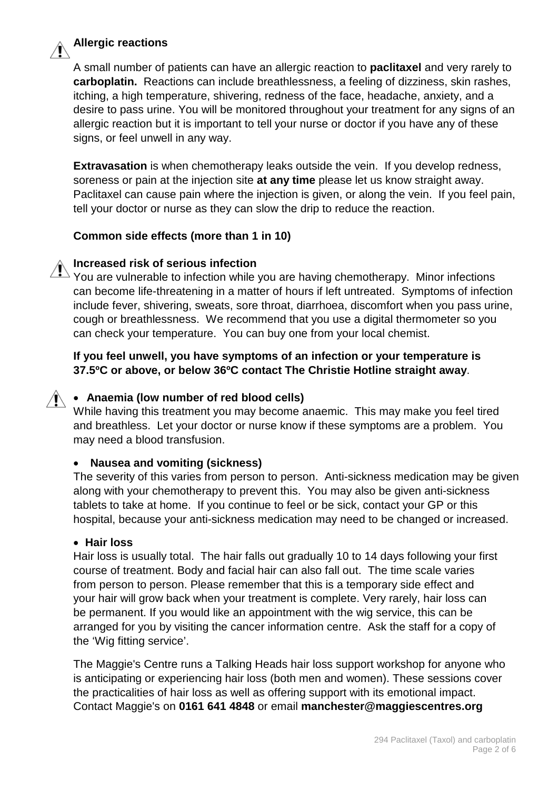

#### **Allergic reactions**

A small number of patients can have an allergic reaction to **paclitaxel** and very rarely to **carboplatin.** Reactions can include breathlessness, a feeling of dizziness, skin rashes, itching, a high temperature, shivering, redness of the face, headache, anxiety, and a desire to pass urine. You will be monitored throughout your treatment for any signs of an allergic reaction but it is important to tell your nurse or doctor if you have any of these signs, or feel unwell in any way.

**Extravasation** is when chemotherapy leaks outside the vein. If you develop redness, soreness or pain at the injection site **at any time** please let us know straight away. Paclitaxel can cause pain where the injection is given, or along the vein. If you feel pain, tell your doctor or nurse as they can slow the drip to reduce the reaction.

#### **Common side effects (more than 1 in 10)**

#### **Increased risk of serious infection**

You are vulnerable to infection while you are having chemotherapy. Minor infections can become life-threatening in a matter of hours if left untreated. Symptoms of infection include fever, shivering, sweats, sore throat, diarrhoea, discomfort when you pass urine, cough or breathlessness. We recommend that you use a digital thermometer so you can check your temperature. You can buy one from your local chemist.

#### **If you feel unwell, you have symptoms of an infection or your temperature is 37.5ºC or above, or below 36ºC contact The Christie Hotline straight away**.

#### • **Anaemia (low number of red blood cells)**

While having this treatment you may become anaemic. This may make you feel tired and breathless. Let your doctor or nurse know if these symptoms are a problem. You may need a blood transfusion.

#### • **Nausea and vomiting (sickness)**

The severity of this varies from person to person. Anti-sickness medication may be given along with your chemotherapy to prevent this. You may also be given anti-sickness tablets to take at home. If you continue to feel or be sick, contact your GP or this hospital, because your anti-sickness medication may need to be changed or increased.

#### • **Hair loss**

Hair loss is usually total. The hair falls out gradually 10 to 14 days following your first course of treatment. Body and facial hair can also fall out. The time scale varies from person to person. Please remember that this is a temporary side effect and your hair will grow back when your treatment is complete. Very rarely, hair loss can be permanent. If you would like an appointment with the wig service, this can be arranged for you by visiting the cancer information centre. Ask the staff for a copy of the 'Wig fitting service'.

The Maggie's Centre runs a Talking Heads hair loss support workshop for anyone who is anticipating or experiencing hair loss (both men and women). These sessions cover the practicalities of hair loss as well as offering support with its emotional impact. Contact Maggie's on **0161 641 4848** or email **manchester@maggiescentres.org**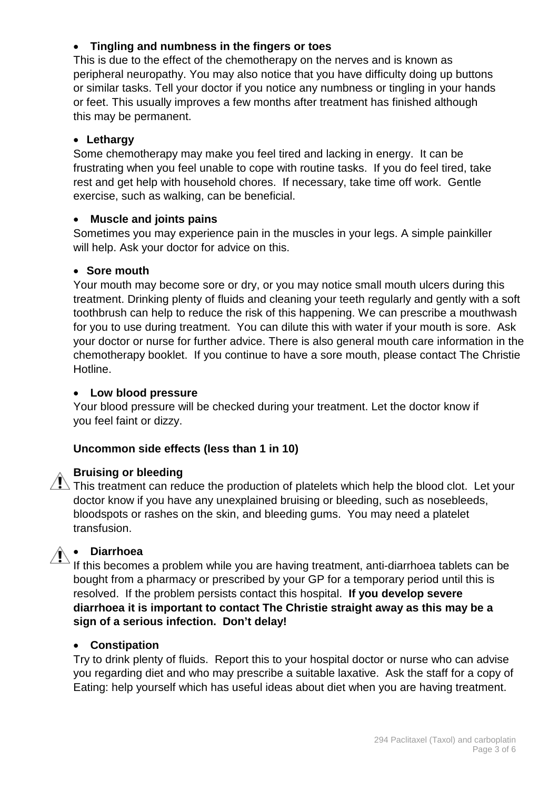#### • **Tingling and numbness in the fingers or toes**

This is due to the effect of the chemotherapy on the nerves and is known as peripheral neuropathy. You may also notice that you have difficulty doing up buttons or similar tasks. Tell your doctor if you notice any numbness or tingling in your hands or feet. This usually improves a few months after treatment has finished although this may be permanent.

#### • **Lethargy**

Some chemotherapy may make you feel tired and lacking in energy. It can be frustrating when you feel unable to cope with routine tasks. If you do feel tired, take rest and get help with household chores. If necessary, take time off work. Gentle exercise, such as walking, can be beneficial.

#### • **Muscle and joints pains**

Sometimes you may experience pain in the muscles in your legs. A simple painkiller will help. Ask your doctor for advice on this.

#### • **Sore mouth**

Your mouth may become sore or dry, or you may notice small mouth ulcers during this treatment. Drinking plenty of fluids and cleaning your teeth regularly and gently with a soft toothbrush can help to reduce the risk of this happening. We can prescribe a mouthwash for you to use during treatment. You can dilute this with water if your mouth is sore. Ask your doctor or nurse for further advice. There is also general mouth care information in the chemotherapy booklet. If you continue to have a sore mouth, please contact The Christie Hotline.

#### • **Low blood pressure**

Your blood pressure will be checked during your treatment. Let the doctor know if you feel faint or dizzy.

#### **Uncommon side effects (less than 1 in 10)**

#### **Bruising or bleeding**

 $\sqrt{!}$  This treatment can reduce the production of platelets which help the blood clot. Let your doctor know if you have any unexplained bruising or bleeding, such as nosebleeds, bloodspots or rashes on the skin, and bleeding gums. You may need a platelet transfusion.



#### • **Diarrhoea**

If this becomes a problem while you are having treatment, anti-diarrhoea tablets can be bought from a pharmacy or prescribed by your GP for a temporary period until this is resolved. If the problem persists contact this hospital. **If you develop severe diarrhoea it is important to contact The Christie straight away as this may be a sign of a serious infection. Don't delay!**

#### • **Constipation**

Try to drink plenty of fluids. Report this to your hospital doctor or nurse who can advise you regarding diet and who may prescribe a suitable laxative. Ask the staff for a copy of Eating: help yourself which has useful ideas about diet when you are having treatment.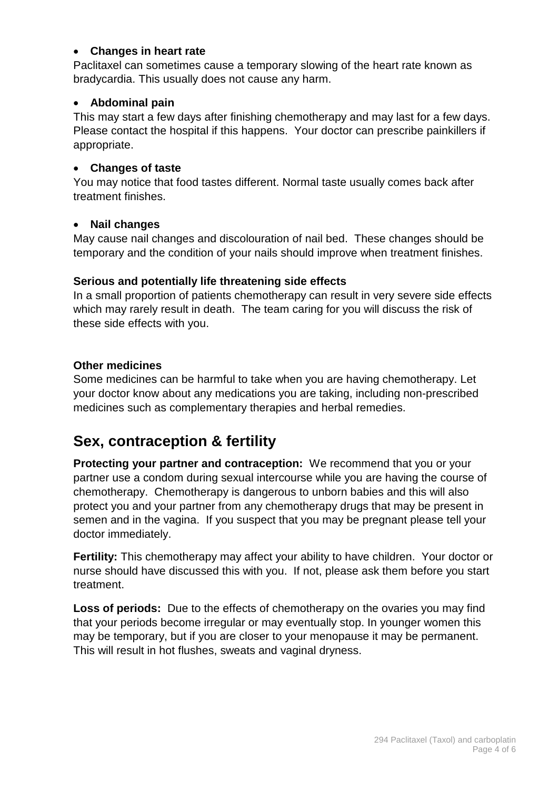#### • **Changes in heart rate**

Paclitaxel can sometimes cause a temporary slowing of the heart rate known as bradycardia. This usually does not cause any harm.

#### • **Abdominal pain**

This may start a few days after finishing chemotherapy and may last for a few days. Please contact the hospital if this happens. Your doctor can prescribe painkillers if appropriate.

#### • **Changes of taste**

You may notice that food tastes different. Normal taste usually comes back after treatment finishes.

#### • **Nail changes**

May cause nail changes and discolouration of nail bed. These changes should be temporary and the condition of your nails should improve when treatment finishes.

#### **Serious and potentially life threatening side effects**

In a small proportion of patients chemotherapy can result in very severe side effects which may rarely result in death. The team caring for you will discuss the risk of these side effects with you.

#### **Other medicines**

Some medicines can be harmful to take when you are having chemotherapy. Let your doctor know about any medications you are taking, including non-prescribed medicines such as complementary therapies and herbal remedies.

# **Sex, contraception & fertility**

**Protecting your partner and contraception:** We recommend that you or your partner use a condom during sexual intercourse while you are having the course of chemotherapy. Chemotherapy is dangerous to unborn babies and this will also protect you and your partner from any chemotherapy drugs that may be present in semen and in the vagina. If you suspect that you may be pregnant please tell your doctor immediately.

**Fertility:** This chemotherapy may affect your ability to have children. Your doctor or nurse should have discussed this with you. If not, please ask them before you start treatment.

**Loss of periods:** Due to the effects of chemotherapy on the ovaries you may find that your periods become irregular or may eventually stop. In younger women this may be temporary, but if you are closer to your menopause it may be permanent. This will result in hot flushes, sweats and vaginal dryness.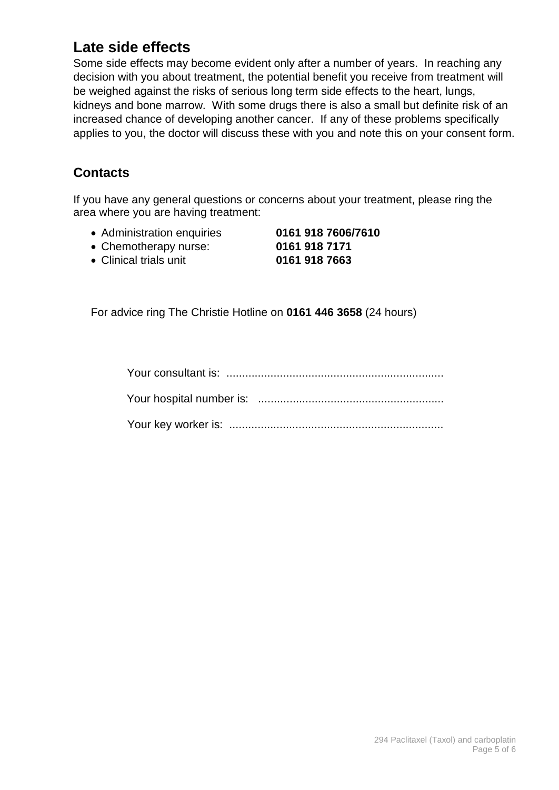# **Late side effects**

Some side effects may become evident only after a number of years. In reaching any decision with you about treatment, the potential benefit you receive from treatment will be weighed against the risks of serious long term side effects to the heart, lungs, kidneys and bone marrow. With some drugs there is also a small but definite risk of an increased chance of developing another cancer. If any of these problems specifically applies to you, the doctor will discuss these with you and note this on your consent form.

## **Contacts**

If you have any general questions or concerns about your treatment, please ring the area where you are having treatment:

- Administration enquiries **0161 918 7606/7610**
- Chemotherapy nurse: **0161 918 7171**
- Clinical trials unit **0161 918 7663**

For advice ring The Christie Hotline on **0161 446 3658** (24 hours)